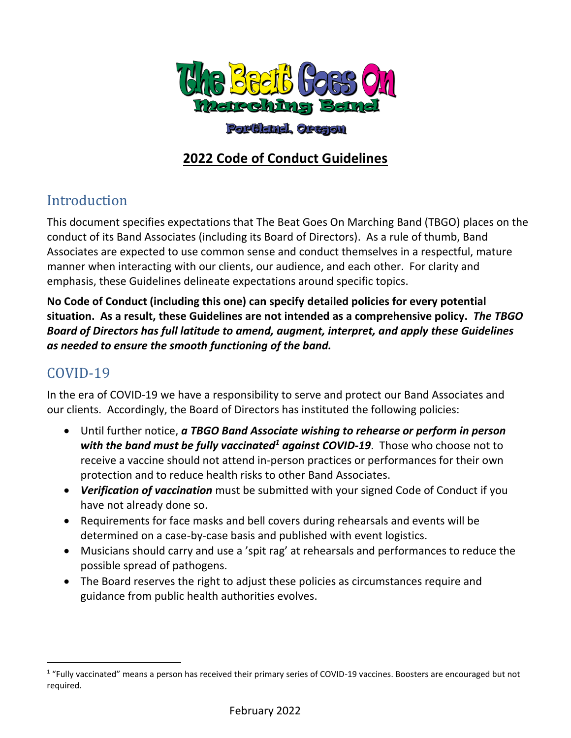

#### Portland, Orașon

## **2022 Code of Conduct Guidelines**

## Introduction

This document specifies expectations that The Beat Goes On Marching Band (TBGO) places on the conduct of its Band Associates (including its Board of Directors). As a rule of thumb, Band Associates are expected to use common sense and conduct themselves in a respectful, mature manner when interacting with our clients, our audience, and each other. For clarity and emphasis, these Guidelines delineate expectations around specific topics.

**No Code of Conduct (including this one) can specify detailed policies for every potential situation. As a result, these Guidelines are not intended as a comprehensive policy.** *The TBGO Board of Directors has full latitude to amend, augment, interpret, and apply these Guidelines as needed to ensure the smooth functioning of the band.*

## COVID-19

In the era of COVID-19 we have a responsibility to serve and protect our Band Associates and our clients. Accordingly, the Board of Directors has instituted the following policies:

- Until further notice, *a TBGO Band Associate wishing to rehearse or perform in person with the band must be fully vaccinated<sup>1</sup> against COVID-19*. Those who choose not to receive a vaccine should not attend in-person practices or performances for their own protection and to reduce health risks to other Band Associates.
- *Verification of vaccination* must be submitted with your signed Code of Conduct if you have not already done so.
- Requirements for face masks and bell covers during rehearsals and events will be determined on a case-by-case basis and published with event logistics.
- Musicians should carry and use a 'spit rag' at rehearsals and performances to reduce the possible spread of pathogens.
- The Board reserves the right to adjust these policies as circumstances require and guidance from public health authorities evolves.

<sup>&</sup>lt;sup>1</sup> "Fully vaccinated" means a person has received their primary series of COVID-19 vaccines. Boosters are encouraged but not required.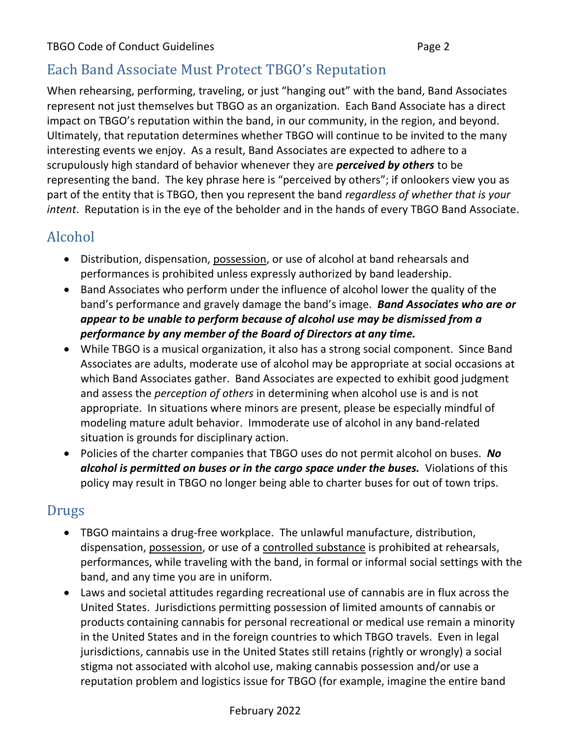## Each Band Associate Must Protect TBGO's Reputation

When rehearsing, performing, traveling, or just "hanging out" with the band, Band Associates represent not just themselves but TBGO as an organization. Each Band Associate has a direct impact on TBGO's reputation within the band, in our community, in the region, and beyond. Ultimately, that reputation determines whether TBGO will continue to be invited to the many interesting events we enjoy. As a result, Band Associates are expected to adhere to a scrupulously high standard of behavior whenever they are *perceived by others* to be representing the band. The key phrase here is "perceived by others"; if onlookers view you as part of the entity that is TBGO, then you represent the band *regardless of whether that is your intent*. Reputation is in the eye of the beholder and in the hands of every TBGO Band Associate.

## Alcohol

- Distribution, dispensation, possession, or use of alcohol at band rehearsals and performances is prohibited unless expressly authorized by band leadership.
- Band Associates who perform under the influence of alcohol lower the quality of the band's performance and gravely damage the band's image. *Band Associates who are or appear to be unable to perform because of alcohol use may be dismissed from a performance by any member of the Board of Directors at any time.*
- While TBGO is a musical organization, it also has a strong social component. Since Band Associates are adults, moderate use of alcohol may be appropriate at social occasions at which Band Associates gather. Band Associates are expected to exhibit good judgment and assess the *perception of others* in determining when alcohol use is and is not appropriate. In situations where minors are present, please be especially mindful of modeling mature adult behavior. Immoderate use of alcohol in any band-related situation is grounds for disciplinary action.
- Policies of the charter companies that TBGO uses do not permit alcohol on buses. *No alcohol is permitted on buses or in the cargo space under the buses.* Violations of this policy may result in TBGO no longer being able to charter buses for out of town trips.

#### Drugs

- TBGO maintains a drug-free workplace. The unlawful manufacture, distribution, dispensation, possession, or use of a controlled substance is prohibited at rehearsals, performances, while traveling with the band, in formal or informal social settings with the band, and any time you are in uniform.
- Laws and societal attitudes regarding recreational use of cannabis are in flux across the United States. Jurisdictions permitting possession of limited amounts of cannabis or products containing cannabis for personal recreational or medical use remain a minority in the United States and in the foreign countries to which TBGO travels. Even in legal jurisdictions, cannabis use in the United States still retains (rightly or wrongly) a social stigma not associated with alcohol use, making cannabis possession and/or use a reputation problem and logistics issue for TBGO (for example, imagine the entire band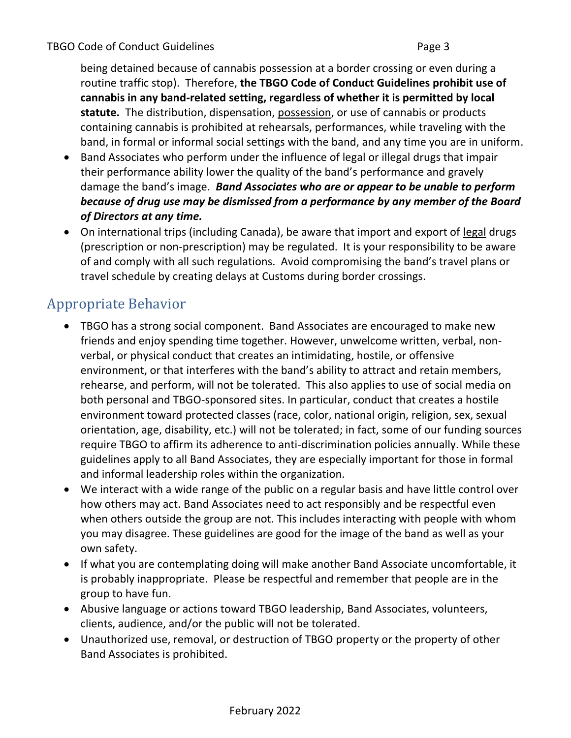being detained because of cannabis possession at a border crossing or even during a routine traffic stop). Therefore, **the TBGO Code of Conduct Guidelines prohibit use of cannabis in any band-related setting, regardless of whether it is permitted by local statute.** The distribution, dispensation, possession, or use of cannabis or products containing cannabis is prohibited at rehearsals, performances, while traveling with the band, in formal or informal social settings with the band, and any time you are in uniform.

- Band Associates who perform under the influence of legal or illegal drugs that impair their performance ability lower the quality of the band's performance and gravely damage the band's image. *Band Associates who are or appear to be unable to perform because of drug use may be dismissed from a performance by any member of the Board of Directors at any time.*
- On international trips (including Canada), be aware that import and export of legal drugs (prescription or non-prescription) may be regulated. It is your responsibility to be aware of and comply with all such regulations. Avoid compromising the band's travel plans or travel schedule by creating delays at Customs during border crossings.

## Appropriate Behavior

- TBGO has a strong social component. Band Associates are encouraged to make new friends and enjoy spending time together. However, unwelcome written, verbal, nonverbal, or physical conduct that creates an intimidating, hostile, or offensive environment, or that interferes with the band's ability to attract and retain members, rehearse, and perform, will not be tolerated. This also applies to use of social media on both personal and TBGO-sponsored sites. In particular, conduct that creates a hostile environment toward protected classes (race, color, national origin, religion, sex, sexual orientation, age, disability, etc.) will not be tolerated; in fact, some of our funding sources require TBGO to affirm its adherence to anti-discrimination policies annually. While these guidelines apply to all Band Associates, they are especially important for those in formal and informal leadership roles within the organization.
- We interact with a wide range of the public on a regular basis and have little control over how others may act. Band Associates need to act responsibly and be respectful even when others outside the group are not. This includes interacting with people with whom you may disagree. These guidelines are good for the image of the band as well as your own safety.
- If what you are contemplating doing will make another Band Associate uncomfortable, it is probably inappropriate. Please be respectful and remember that people are in the group to have fun.
- Abusive language or actions toward TBGO leadership, Band Associates, volunteers, clients, audience, and/or the public will not be tolerated.
- Unauthorized use, removal, or destruction of TBGO property or the property of other Band Associates is prohibited.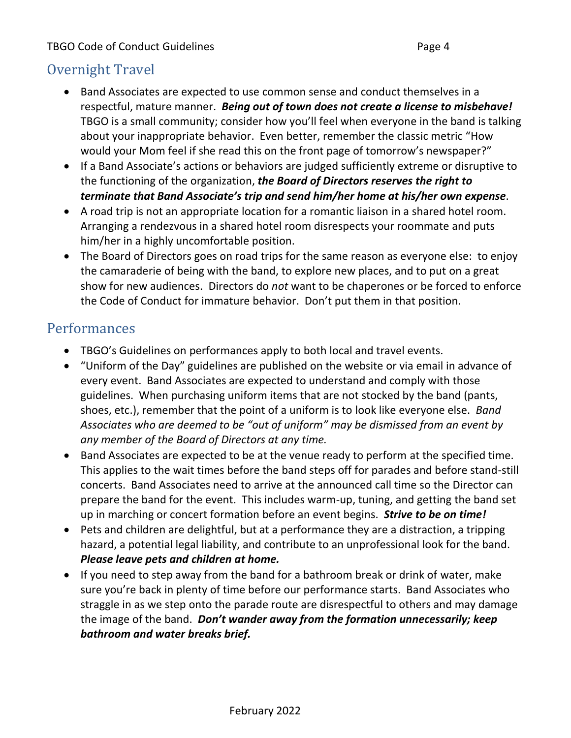## Overnight Travel

- Band Associates are expected to use common sense and conduct themselves in a respectful, mature manner. *Being out of town does not create a license to misbehave!* TBGO is a small community; consider how you'll feel when everyone in the band is talking about your inappropriate behavior. Even better, remember the classic metric "How would your Mom feel if she read this on the front page of tomorrow's newspaper?"
- If a Band Associate's actions or behaviors are judged sufficiently extreme or disruptive to the functioning of the organization, *the Board of Directors reserves the right to terminate that Band Associate's trip and send him/her home at his/her own expense*.
- A road trip is not an appropriate location for a romantic liaison in a shared hotel room. Arranging a rendezvous in a shared hotel room disrespects your roommate and puts him/her in a highly uncomfortable position.
- The Board of Directors goes on road trips for the same reason as everyone else: to enjoy the camaraderie of being with the band, to explore new places, and to put on a great show for new audiences. Directors do *not* want to be chaperones or be forced to enforce the Code of Conduct for immature behavior. Don't put them in that position.

#### Performances

- TBGO's Guidelines on performances apply to both local and travel events.
- "Uniform of the Day" guidelines are published on the website or via email in advance of every event. Band Associates are expected to understand and comply with those guidelines. When purchasing uniform items that are not stocked by the band (pants, shoes, etc.), remember that the point of a uniform is to look like everyone else. *Band Associates who are deemed to be "out of uniform" may be dismissed from an event by any member of the Board of Directors at any time.*
- Band Associates are expected to be at the venue ready to perform at the specified time. This applies to the wait times before the band steps off for parades and before stand-still concerts. Band Associates need to arrive at the announced call time so the Director can prepare the band for the event. This includes warm-up, tuning, and getting the band set up in marching or concert formation before an event begins. *Strive to be on time!*
- Pets and children are delightful, but at a performance they are a distraction, a tripping hazard, a potential legal liability, and contribute to an unprofessional look for the band. *Please leave pets and children at home.*
- If you need to step away from the band for a bathroom break or drink of water, make sure you're back in plenty of time before our performance starts. Band Associates who straggle in as we step onto the parade route are disrespectful to others and may damage the image of the band. *Don't wander away from the formation unnecessarily; keep bathroom and water breaks brief.*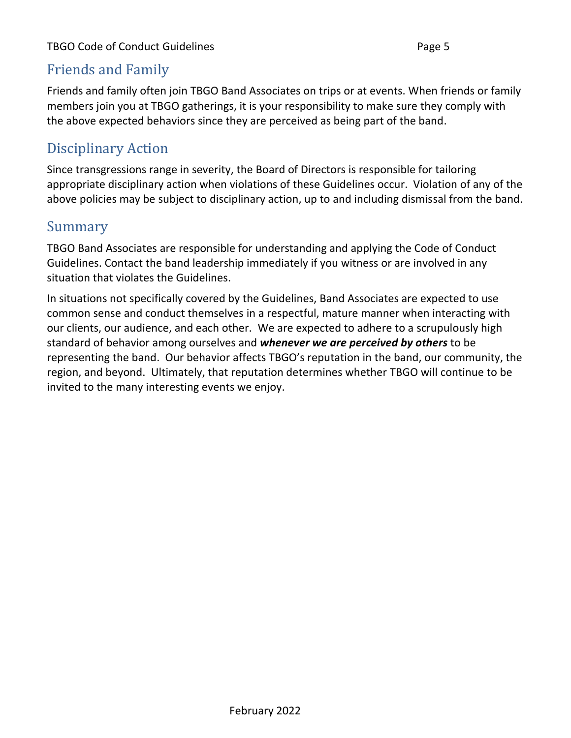## Friends and Family

Friends and family often join TBGO Band Associates on trips or at events. When friends or family members join you at TBGO gatherings, it is your responsibility to make sure they comply with the above expected behaviors since they are perceived as being part of the band.

# Disciplinary Action

Since transgressions range in severity, the Board of Directors is responsible for tailoring appropriate disciplinary action when violations of these Guidelines occur. Violation of any of the above policies may be subject to disciplinary action, up to and including dismissal from the band.

## Summary

TBGO Band Associates are responsible for understanding and applying the Code of Conduct Guidelines. Contact the band leadership immediately if you witness or are involved in any situation that violates the Guidelines.

In situations not specifically covered by the Guidelines, Band Associates are expected to use common sense and conduct themselves in a respectful, mature manner when interacting with our clients, our audience, and each other. We are expected to adhere to a scrupulously high standard of behavior among ourselves and *whenever we are perceived by others* to be representing the band. Our behavior affects TBGO's reputation in the band, our community, the region, and beyond. Ultimately, that reputation determines whether TBGO will continue to be invited to the many interesting events we enjoy.